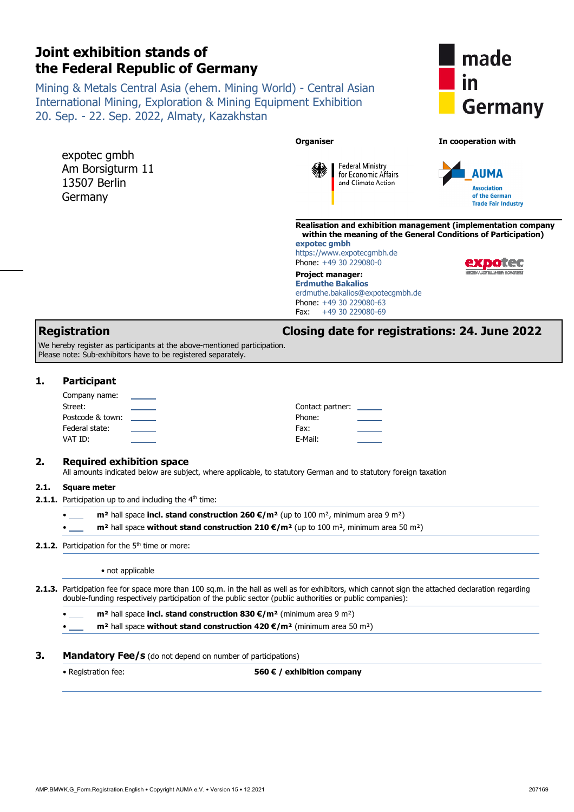|      | Joint exhibition stands of<br>the Federal Republic of Germany                                                                                                    |                                                                                                                                                                                                                                                        | made                                                                                                                            |
|------|------------------------------------------------------------------------------------------------------------------------------------------------------------------|--------------------------------------------------------------------------------------------------------------------------------------------------------------------------------------------------------------------------------------------------------|---------------------------------------------------------------------------------------------------------------------------------|
|      | 20. Sep. - 22. Sep. 2022, Almaty, Kazakhstan                                                                                                                     | Mining & Metals Central Asia (ehem. Mining World) - Central Asian<br><b>International Mining, Exploration &amp; Mining Equipment Exhibition</b>                                                                                                        | in<br><b>Germany</b>                                                                                                            |
|      | expotec gmbh<br>Am Borsigturm 11<br>13507 Berlin<br>Germany                                                                                                      | <b>Organiser</b><br><b>Federal Ministry</b><br>for Economic Affairs<br>and Climate Action                                                                                                                                                              | In cooperation with<br>AUMA<br><b>Association</b><br>of the German<br><b>Trade Fair Industry</b>                                |
|      |                                                                                                                                                                  | expotec gmbh<br>https://www.expotecgmbh.de<br>Phone: +49 30 229080-0<br><b>Project manager:</b><br><b>Erdmuthe Bakalios</b><br>erdmuthe.bakalios@expotecgmbh.de<br>Phone: +49 30 229080-63<br>Fax:<br>+49 30 229080-69                                 | Realisation and exhibition management (implementation company<br>within the meaning of the General Conditions of Participation) |
|      | <b>Registration</b><br>We hereby register as participants at the above-mentioned participation.<br>Please note: Sub-exhibitors have to be registered separately. |                                                                                                                                                                                                                                                        | Closing date for registrations: 24. June 2022                                                                                   |
| 1.   | <b>Participant</b><br>Company name:<br>Street:<br>Postcode & town:<br>Federal state:<br>VAT ID:                                                                  | Contact partner: ______<br>Phone:<br>Fax:<br>E-Mail:                                                                                                                                                                                                   |                                                                                                                                 |
| 2.   | <b>Required exhibition space</b>                                                                                                                                 | All amounts indicated below are subject, where applicable, to statutory German and to statutory foreign taxation                                                                                                                                       |                                                                                                                                 |
| 2.1. | <b>Square meter</b><br>2.1.1. Participation up to and including the 4 <sup>th</sup> time:                                                                        | $m2$ hall space incl. stand construction 260 $\epsilon/m2$ (up to 100 m <sup>2</sup> , minimum area 9 m <sup>2</sup> )<br>$m2$ hall space without stand construction 210 €/m <sup>2</sup> (up to 100 m <sup>2</sup> , minimum area 50 m <sup>2</sup> ) |                                                                                                                                 |
|      | 2.1.2. Participation for the 5 <sup>th</sup> time or more:                                                                                                       |                                                                                                                                                                                                                                                        |                                                                                                                                 |
|      | • not applicable                                                                                                                                                 | 2.1.3. Participation fee for space more than 100 sq.m. in the hall as well as for exhibitors, which cannot sign the attached declaration regarding                                                                                                     |                                                                                                                                 |
|      | double-funding respectively participation of the public sector (public authorities or public companies):                                                         | $m2$ hall space incl. stand construction 830 $\epsilon/m2$ (minimum area 9 m <sup>2</sup> )                                                                                                                                                            |                                                                                                                                 |
| З.   | <b>Mandatory Fee/s</b> (do not depend on number of participations)                                                                                               | $m2$ hall space without stand construction 420 $\varepsilon/m2$ (minimum area 50 m <sup>2</sup> )                                                                                                                                                      |                                                                                                                                 |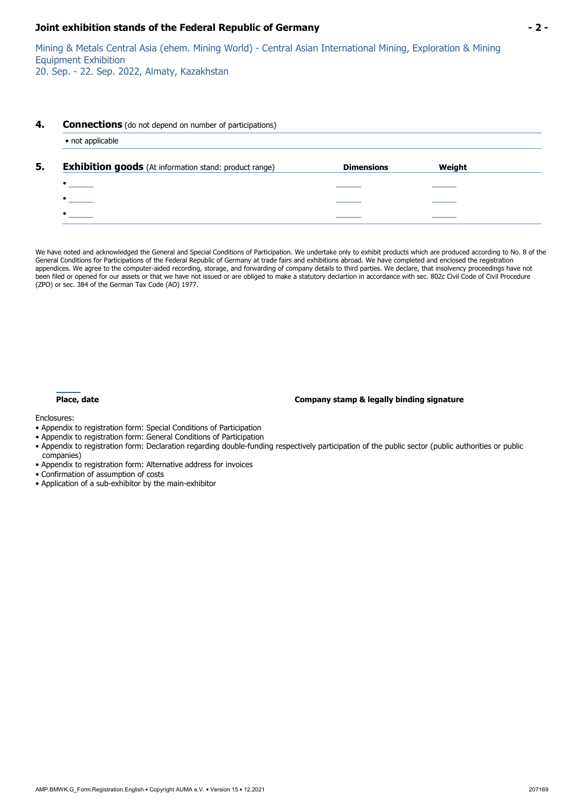Mining & Metals Central Asia (ehem. Mining World) - Central Asian International Mining, Exploration & Mining Equipment Exhibition

20. Sep. - 22. Sep. 2022, Almaty, Kazakhstan

#### **4. Connections** (do not depend on number of participations)

| <b>Exhibition goods</b> (At information stand: product range) | <b>Dimensions</b> | Weight |
|---------------------------------------------------------------|-------------------|--------|
| $\bullet$                                                     |                   |        |
|                                                               |                   |        |
|                                                               |                   |        |

We have noted and acknowledged the General and Special Conditions of Participation. We undertake only to exhibit products which are produced according to No. 8 of the General Conditions for Participations of the Federal Republic of Germany at trade fairs and exhibitions abroad. We have completed and enclosed the registration appendices. We agree to the computer-aided recording, storage, and forwarding of company details to third parties. We declare, that insolvency proceedings have not been filed or opened for our assets or that we have not issued or are obliged to make a statutory declartion in accordance with sec. 802c Civil Code of Civil Procedure (ZPO) or sec. 384 of the German Tax Code (AO) 1977.

#### **Place, date Company stamp & legally binding signature**

Enclosures:

- Appendix to registration form: Special Conditions of Participation
- Appendix to registration form: General Conditions of Participation
- Appendix to registration form: Declaration regarding double-funding respectively participation of the public sector (public authorities or public companies)
- Appendix to registration form: Alternative address for invoices
- Confirmation of assumption of costs
- Application of a sub-exhibitor by the main-exhibitor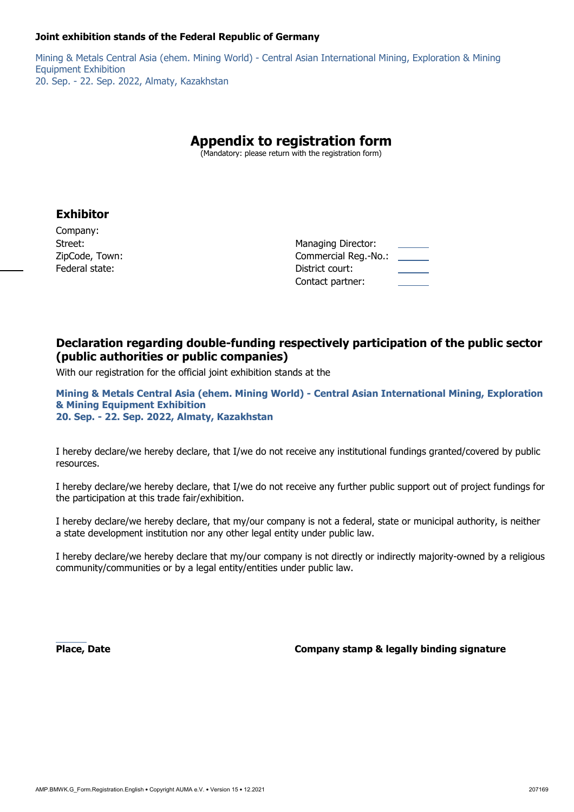Mining & Metals Central Asia (ehem. Mining World) - Central Asian International Mining, Exploration & Mining Equipment Exhibition 20. Sep. - 22. Sep. 2022, Almaty, Kazakhstan

# **Appendix to registration form**

(Mandatory: please return with the registration form)

### **Exhibitor**

Company: ZipCode, Town: Commercial Reg. 2012 Federal state: District court: District court: District court: District court: District court: District court: District court: District court: District court: District court: District court: District court: District court:

| Street:        | Managing Director:                                  |  |
|----------------|-----------------------------------------------------|--|
| ZipCode, Town: | Commercial Reg.-No.:<br>$\sim$ $\sim$ $\sim$ $\sim$ |  |
| Federal state: | District court:                                     |  |
|                | Contact partner:                                    |  |

### **Declaration regarding double-funding respectively participation of the public sector (public authorities or public companies)**

With our registration for the official joint exhibition stands at the

**Mining & Metals Central Asia (ehem. Mining World) - Central Asian International Mining, Exploration & Mining Equipment Exhibition 20. Sep. - 22. Sep. 2022, Almaty, Kazakhstan** 

I hereby declare/we hereby declare, that I/we do not receive any institutional fundings granted/covered by public resources.

I hereby declare/we hereby declare, that I/we do not receive any further public support out of project fundings for the participation at this trade fair/exhibition.

I hereby declare/we hereby declare, that my/our company is not a federal, state or municipal authority, is neither a state development institution nor any other legal entity under public law.

I hereby declare/we hereby declare that my/our company is not directly or indirectly majority-owned by a religious community/communities or by a legal entity/entities under public law.

 **Place, Date Company stamp & legally binding signature**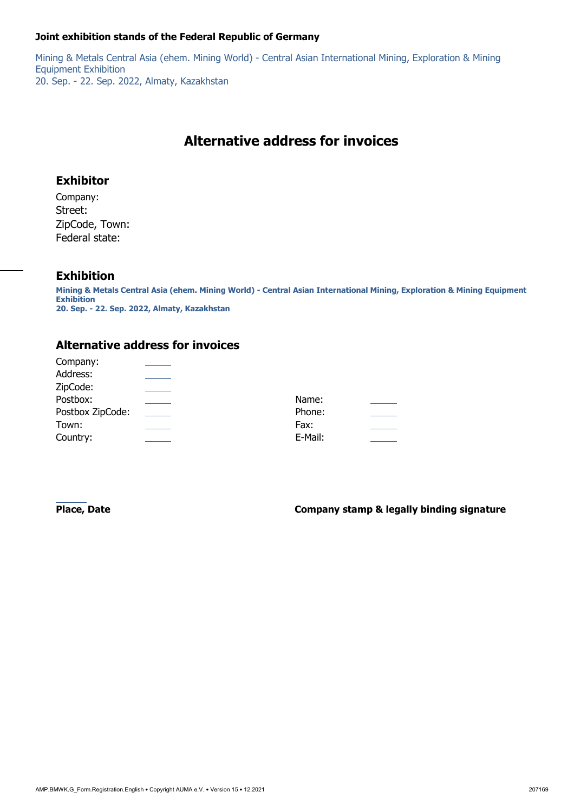Mining & Metals Central Asia (ehem. Mining World) - Central Asian International Mining, Exploration & Mining Equipment Exhibition 20. Sep. - 22. Sep. 2022, Almaty, Kazakhstan

# **Alternative address for invoices**

### **Exhibitor**

Company: Street: ZipCode, Town: Federal state:

### **Exhibition**

**Mining & Metals Central Asia (ehem. Mining World) - Central Asian International Mining, Exploration & Mining Equipment Exhibition 20. Sep. - 22. Sep. 2022, Almaty, Kazakhstan** 

### **Alternative address for invoices**

| Company:         |         |  |
|------------------|---------|--|
| Address:         |         |  |
| ZipCode:         |         |  |
| Postbox:         | Name:   |  |
| Postbox ZipCode: | Phone:  |  |
| Town:            | Fax:    |  |
| Country:         | E-Mail: |  |

**Place, Date Company stamp & legally binding signature**  $\blacksquare$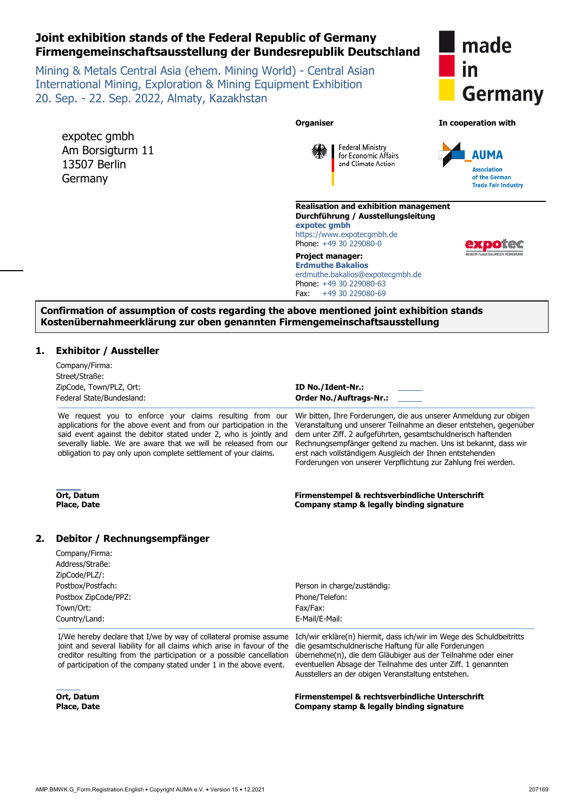### **Joint exhibition stands of the Federal Republic of Germany Firmengemeinschaftsausstellung der Bundesrepublik Deutschland**

Mining & Metals Central Asia (ehem. Mining World) - Central Asian International Mining, Exploration & Mining Equipment Exhibition 20. Sep. - 22. Sep. 2022, Almaty, Kazakhstan



**AUMA** 

**Association** of the German **Trade Fair Industry** 

**Organiser In cooperation with**  expotec gmbh **Federal Ministry** Am Borsigturm 11 for Economic Affairs 13507 Berlin and Climate Action Germany **Realisation and exhibition management**



**Durchführung / Ausstellungsleitung expotec gmbh** https://www.expotecgmbh.de

Phone: +49 30 229080-0 **Project manager:**

**Erdmuthe Bakalios** erdmuthe.bakalios@expotecgmbh.de Phone: +49 30 229080-63 Fax: +49 30 229080-69

#### **Confirmation of assumption of costs regarding the above mentioned joint exhibition stands Kostenübernahmeerklärung zur oben genannten Firmengemeinschaftsausstellung**

#### **1. Exhibitor / Aussteller**

|    | Company/Firma:<br>Street/Straße:<br>ZipCode, Town/PLZ, Ort:<br>Federal State/Bundesland:                                                                                                                                                                                                                                                   | ID No./Ident-Nr.:<br><b>Order No./Auftrags-Nr.:</b>                                                                                                                                                                                                                                                                                                                                                        |
|----|--------------------------------------------------------------------------------------------------------------------------------------------------------------------------------------------------------------------------------------------------------------------------------------------------------------------------------------------|------------------------------------------------------------------------------------------------------------------------------------------------------------------------------------------------------------------------------------------------------------------------------------------------------------------------------------------------------------------------------------------------------------|
|    | We request you to enforce your claims resulting from our<br>applications for the above event and from our participation in the<br>said event against the debitor stated under 2, who is jointly and<br>severally liable. We are aware that we will be released from our<br>obligation to pay only upon complete settlement of your claims. | Wir bitten, Ihre Forderungen, die aus unserer Anmeldung zur obigen<br>Veranstaltung und unserer Teilnahme an dieser entstehen, gegenüber<br>dem unter Ziff. 2 aufgeführten, gesamtschuldnerisch haftenden<br>Rechnungsempfänger geltend zu machen. Uns ist bekannt, dass wir<br>erst nach vollständigem Ausgleich der Ihnen entstehenden<br>Forderungen von unserer Verpflichtung zur Zahlung frei werden. |
|    | Ort, Datum<br><b>Place, Date</b>                                                                                                                                                                                                                                                                                                           | Firmenstempel & rechtsverbindliche Unterschrift<br>Company stamp & legally binding signature                                                                                                                                                                                                                                                                                                               |
| 2. | Debitor / Rechnungsempfänger                                                                                                                                                                                                                                                                                                               |                                                                                                                                                                                                                                                                                                                                                                                                            |
|    | Company/Firma:<br>Address/Straße:<br>ZipCode/PLZ/:                                                                                                                                                                                                                                                                                         |                                                                                                                                                                                                                                                                                                                                                                                                            |
|    | Postbox/Postfach:                                                                                                                                                                                                                                                                                                                          | Person in charge/zuständig:                                                                                                                                                                                                                                                                                                                                                                                |
|    | Postbox ZipCode/PPZ:                                                                                                                                                                                                                                                                                                                       | Phone/Telefon:                                                                                                                                                                                                                                                                                                                                                                                             |
|    | Town/Ort:                                                                                                                                                                                                                                                                                                                                  | Fax/Fax:                                                                                                                                                                                                                                                                                                                                                                                                   |
|    | Country/Land:                                                                                                                                                                                                                                                                                                                              | E-Mail/E-Mail:                                                                                                                                                                                                                                                                                                                                                                                             |
|    | I/We hereby declare that I/we by way of collateral promise assume<br>joint and several liability for all claims which arise in favour of the<br>creditor resulting from the participation or a possible cancellation<br>of participation of the company stated under 1 in the above event.                                                 | Ich/wir erkläre(n) hiermit, dass ich/wir im Wege des Schuldbeitritts<br>die gesamtschuldnerische Haftung für alle Forderungen<br>übernehme(n), die dem Gläubiger aus der Teilnahme oder einer<br>eventuellen Absage der Teilnahme des unter Ziff. 1 genannten<br>Ausstellers an der obigen Veranstaltung entstehen.                                                                                        |
|    |                                                                                                                                                                                                                                                                                                                                            | فكالمواج ومستحقينا المتواطنة المتعاطية ومستقط والمستنقص المستنفية                                                                                                                                                                                                                                                                                                                                          |

**Ort, Datum Place, Date**  **Firmenstempel & rechtsverbindliche Unterschrift Company stamp & legally binding signature**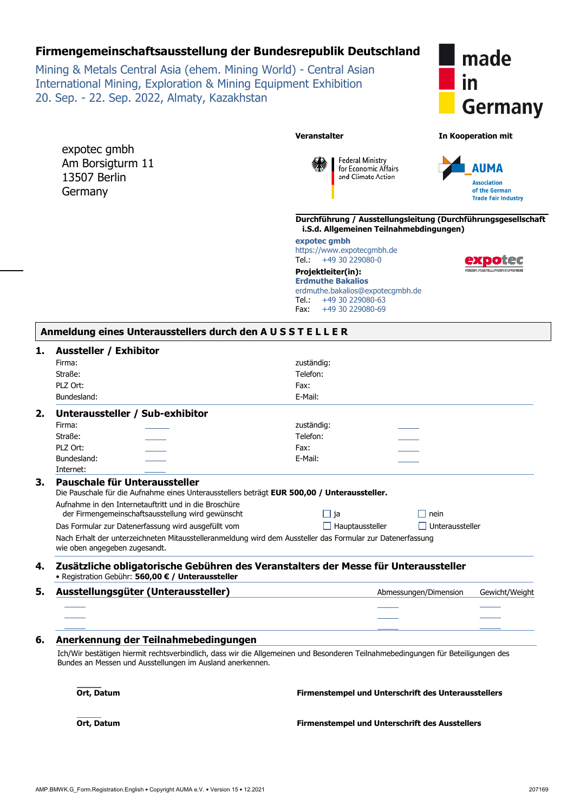### **Firmengemeinschaftsausstellung der Bundesrepublik Deutschland**

Mining & Metals Central Asia (ehem. Mining World) - Central Asian International Mining, Exploration & Mining Equipment Exhibition 20. Sep. - 22. Sep. 2022, Almaty, Kazakhstan

expotec gmbh Am Borsigturm 11 13507 Berlin **Germany** 



**Veranstalter In Kooperation mit** 





**Durchführung / Ausstellungsleitung (Durchführungsgesellschaft i.S.d. Allgemeinen Teilnahmebdingungen)** 

**expotec gmbh**  https://www.expotecgmbh.de<br>Tel.: +49 30 229080-0  $+49$  30 229080-0

**Projektleiter(in): Erdmuthe Bakalios** erdmuthe.bakalios@expotecgmbh.de<br>Tel.: +49 30 229080-63 +49 30 229080-63 Fax: +49 30 229080-69



#### **1. Aussteller / Exhibitor**

| JWHJ. 1 5<br>Firma:           |                                                                                                                                                                                               | zuständig:                                            |                       |                |
|-------------------------------|-----------------------------------------------------------------------------------------------------------------------------------------------------------------------------------------------|-------------------------------------------------------|-----------------------|----------------|
| Straße:                       |                                                                                                                                                                                               | Telefon:                                              |                       |                |
| PLZ Ort:                      |                                                                                                                                                                                               | Fax:                                                  |                       |                |
| Bundesland:                   |                                                                                                                                                                                               | E-Mail:                                               |                       |                |
|                               | Unteraussteller / Sub-exhibitor                                                                                                                                                               |                                                       |                       |                |
| Firma:                        |                                                                                                                                                                                               | zuständig:                                            |                       |                |
| Straße:                       |                                                                                                                                                                                               | Telefon:                                              |                       |                |
| PLZ Ort:                      |                                                                                                                                                                                               | Fax:                                                  |                       |                |
| Bundesland:                   |                                                                                                                                                                                               | E-Mail:                                               |                       |                |
| Internet:                     |                                                                                                                                                                                               |                                                       |                       |                |
|                               | Pauschale für Unteraussteller                                                                                                                                                                 |                                                       |                       |                |
|                               | Die Pauschale für die Aufnahme eines Unterausstellers beträgt EUR 500,00 / Unteraussteller.                                                                                                   |                                                       |                       |                |
|                               | Aufnahme in den Internetauftritt und in die Broschüre<br>der Firmengemeinschaftsausstellung wird gewünscht                                                                                    | $\Box$ ja                                             | nein<br>H             |                |
|                               | Das Formular zur Datenerfassung wird ausgefüllt vom                                                                                                                                           | $\Box$ Hauptaussteller                                | Unteraussteller       |                |
| wie oben angegeben zugesandt. | Nach Erhalt der unterzeichneten Mitausstelleranmeldung wird dem Aussteller das Formular zur Datenerfassung                                                                                    |                                                       |                       |                |
|                               | Zusätzliche obligatorische Gebühren des Veranstalters der Messe für Unteraussteller<br>• Registration Gebühr: 560,00 € / Unteraussteller                                                      |                                                       |                       |                |
|                               | Ausstellungsgüter (Unteraussteller)                                                                                                                                                           |                                                       | Abmessungen/Dimension | Gewicht/Weight |
|                               |                                                                                                                                                                                               |                                                       |                       |                |
|                               |                                                                                                                                                                                               |                                                       |                       |                |
|                               |                                                                                                                                                                                               |                                                       |                       |                |
|                               | Anerkennung der Teilnahmebedingungen                                                                                                                                                          |                                                       |                       |                |
|                               | Ich/Wir bestätigen hiermit rechtsverbindlich, dass wir die Allgemeinen und Besonderen Teilnahmebedingungen für Beteiligungen des<br>Bundes an Messen und Ausstellungen im Ausland anerkennen. |                                                       |                       |                |
| Ort, Datum                    |                                                                                                                                                                                               | Firmenstempel und Unterschrift des Unterausstellers   |                       |                |
| Ort, Datum                    |                                                                                                                                                                                               | <b>Firmenstempel und Unterschrift des Ausstellers</b> |                       |                |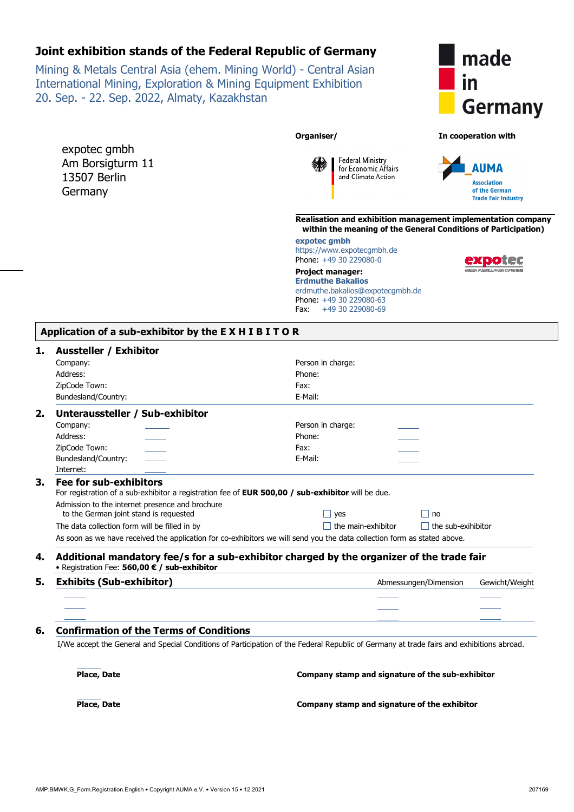Mining & Metals Central Asia (ehem. Mining World) - Central Asian International Mining, Exploration & Mining Equipment Exhibition 20. Sep. - 22. Sep. 2022, Almaty, Kazakhstan

expotec gmbh Am Borsigturm 11 13507 Berlin Germany



**Organiser/ In cooperation with** 



**Realisation and exhibition management implementation company within the meaning of the General Conditions of Participation)** 

**expotec gmbh**  https://www.expotecgmbh.de Phone: +49 30 229080-0

**Project manager: Erdmuthe Bakalios** erdmuthe.bakalios@expotecgmbh.de Phone: +49 30 229080-63 Fax: +49 30 229080-69

**Federal Ministry** for Economic Affairs

and Climate Action

| Application of a sub-exhibitor by the EXHIBITOR |  |
|-------------------------------------------------|--|
|-------------------------------------------------|--|

#### **1. Aussteller / Exhibitor**

| <b>AUSSICHCL / EXHIBITOL</b>          |                                                                                                                                                                                                       |                    |                           |                |
|---------------------------------------|-------------------------------------------------------------------------------------------------------------------------------------------------------------------------------------------------------|--------------------|---------------------------|----------------|
| Company:                              |                                                                                                                                                                                                       | Person in charge:  |                           |                |
| Address:                              |                                                                                                                                                                                                       | Phone:             |                           |                |
| ZipCode Town:                         |                                                                                                                                                                                                       | Fax:               |                           |                |
| Bundesland/Country:                   |                                                                                                                                                                                                       | E-Mail:            |                           |                |
| 2.                                    | Unteraussteller / Sub-exhibitor                                                                                                                                                                       |                    |                           |                |
| Company:                              |                                                                                                                                                                                                       | Person in charge:  |                           |                |
| Address:                              |                                                                                                                                                                                                       | Phone:             |                           |                |
| ZipCode Town:                         |                                                                                                                                                                                                       | Fax:               |                           |                |
| Bundesland/Country:                   |                                                                                                                                                                                                       | E-Mail:            |                           |                |
| Internet:                             |                                                                                                                                                                                                       |                    |                           |                |
| 3.<br>Fee for sub-exhibitors          | For registration of a sub-exhibitor a registration fee of <b>EUR 500,00 / sub-exhibitor</b> will be due.<br>Admission to the internet presence and brochure<br>to the German joint stand is requested | $\Box$ yes         | $\Box$ no                 |                |
|                                       | The data collection form will be filled in by                                                                                                                                                         | the main-exhibitor | $\Box$ the sub-exihibitor |                |
|                                       | As soon as we have received the application for co-exhibitors we will send you the data collection form as stated above.                                                                              |                    |                           |                |
| 4.                                    | Additional mandatory fee/s for a sub-exhibitor charged by the organizer of the trade fair<br>• Registration Fee: 560,00 € / sub-exhibitor                                                             |                    |                           |                |
| 5.<br><b>Exhibits (Sub-exhibitor)</b> |                                                                                                                                                                                                       |                    | Abmessungen/Dimension     | Gewicht/Weight |
|                                       |                                                                                                                                                                                                       |                    |                           |                |
|                                       |                                                                                                                                                                                                       |                    |                           |                |
|                                       |                                                                                                                                                                                                       |                    |                           |                |

**6. Confirmation of the Terms of Conditions**

I/We accept the General and Special Conditions of Participation of the Federal Republic of Germany at trade fairs and exhibitions abroad.

 **Place, Date Company stamp and signature of the sub-exhibitor Place**, Date

**Company stamp and signature of the exhibitor**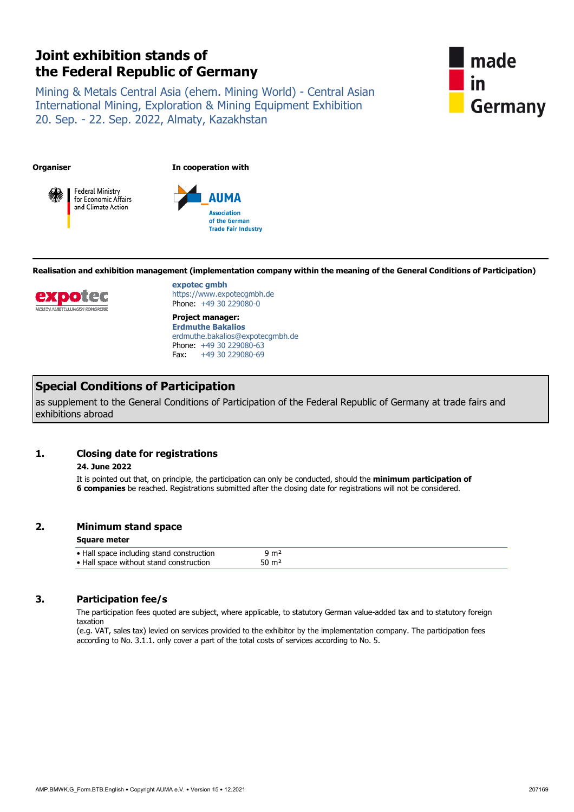Mining & Metals Central Asia (ehem. Mining World) - Central Asian International Mining, Exploration & Mining Equipment Exhibition 20. Sep. - 22. Sep. 2022, Almaty, Kazakhstan



**Organiser In cooperation with**





**Realisation and exhibition management (implementation company within the meaning of the General Conditions of Participation)**



**expotec gmbh** https://www.expotecgmbh.de Phone: +49 30 229080-0

**Project manager: Erdmuthe Bakalios**  erdmuthe.bakalios@expotecgmbh.de Phone: +49 30 229080-63 Fax: +49 30 229080-69

## **Special Conditions of Participation**

as supplement to the General Conditions of Participation of the Federal Republic of Germany at trade fairs and exhibitions abroad

#### **1. Closing date for registrations**

#### **24. June 2022**

 It is pointed out that, on principle, the participation can only be conducted, should the **minimum participation of 6 companies** be reached. Registrations submitted after the closing date for registrations will not be considered.

#### **2. Minimum stand space**

#### **Square meter**

| • Hall space including stand construction<br>ታ m2 |                                         |  |
|---------------------------------------------------|-----------------------------------------|--|
|                                                   |                                         |  |
| 50 m²                                             | • Hall space without stand construction |  |

### **3. Participation fee/s**

 The participation fees quoted are subject, where applicable, to statutory German value-added tax and to statutory foreign taxation

(e.g. VAT, sales tax) levied on services provided to the exhibitor by the implementation company. The participation fees according to No. 3.1.1. only cover a part of the total costs of services according to No. 5.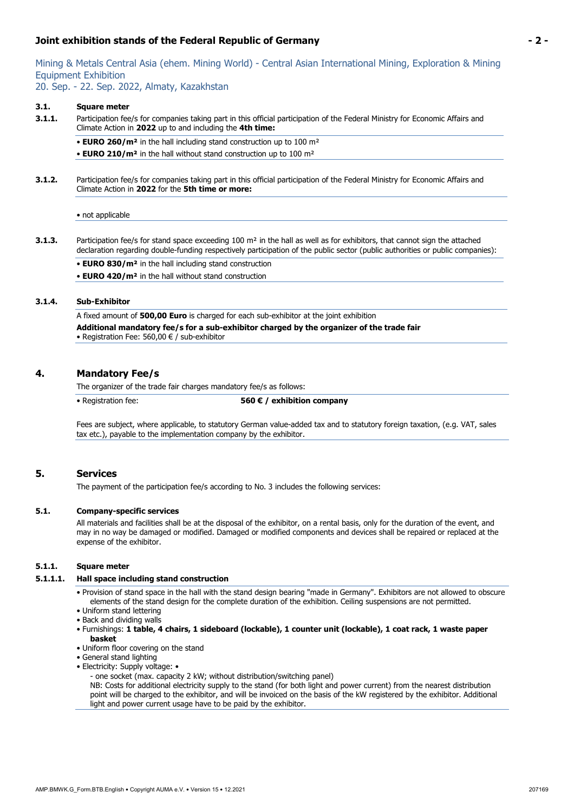Mining & Metals Central Asia (ehem. Mining World) - Central Asian International Mining, Exploration & Mining Equipment Exhibition

20. Sep. - 22. Sep. 2022, Almaty, Kazakhstan

#### **3.1. Square meter**

- **3.1.1.** Participation fee/s for companies taking part in this official participation of the Federal Ministry for Economic Affairs and Climate Action in **2022** up to and including the **4th time:**
	- **EURO 260/m²** in the hall including stand construction up to 100 m²
	- **EURO 210/m²** in the hall without stand construction up to 100 m²
- **3.1.2.** Participation fee/s for companies taking part in this official participation of the Federal Ministry for Economic Affairs and Climate Action in **2022** for the **5th time or more:**

#### • not applicable

- **3.1.3.** Participation fee/s for stand space exceeding 100 m<sup>2</sup> in the hall as well as for exhibitors, that cannot sign the attached declaration regarding double-funding respectively participation of the public sector (public authorities or public companies):
	- **EURO 830/m²** in the hall including stand construction
	- **EURO 420/m²** in the hall without stand construction

#### **3.1.4. Sub-Exhibitor**

A fixed amount of **500,00 Euro** is charged for each sub-exhibitor at the joint exhibition **Additional mandatory fee/s for a sub-exhibitor charged by the organizer of the trade fair**  • Registration Fee: 560,00 € / sub-exhibitor

#### **4. Mandatory Fee/s**

The organizer of the trade fair charges mandatory fee/s as follows:

• Registration fee: **560 € / exhibition company**

Fees are subject, where applicable, to statutory German value-added tax and to statutory foreign taxation, (e.g. VAT, sales tax etc.), payable to the implementation company by the exhibitor.

#### **5. Services**

The payment of the participation fee/s according to No. 3 includes the following services:

#### **5.1. Company-specific services**

 All materials and facilities shall be at the disposal of the exhibitor, on a rental basis, only for the duration of the event, and may in no way be damaged or modified. Damaged or modified components and devices shall be repaired or replaced at the expense of the exhibitor.

#### **5.1.1. Square meter**

#### **5.1.1.1. Hall space including stand construction**

- Provision of stand space in the hall with the stand design bearing "made in Germany". Exhibitors are not allowed to obscure elements of the stand design for the complete duration of the exhibition. Ceiling suspensions are not permitted.
- Uniform stand lettering
- Back and dividing walls
- Furnishings: **1 table, 4 chairs, 1 sideboard (lockable), 1 counter unit (lockable), 1 coat rack, 1 waste paper basket**
- Uniform floor covering on the stand
- General stand lighting
- Electricity: Supply voltage:
	- one socket (max. capacity 2 kW; without distribution/switching panel)

NB: Costs for additional electricity supply to the stand (for both light and power current) from the nearest distribution point will be charged to the exhibitor, and will be invoiced on the basis of the kW registered by the exhibitor. Additional light and power current usage have to be paid by the exhibitor.